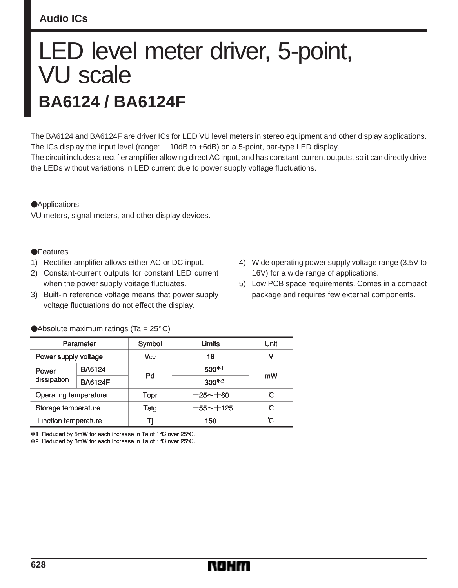# **Audio ICs**

# LED level meter driver, 5-point, VU scale **BA6124 / BA6124F**

The BA6124 and BA6124F are driver ICs for LED VU level meters in stereo equipment and other display applications. The ICs display the input level (range:  $-10$ dB to  $+6$ dB) on a 5-point, bar-type LED display. The circuit includes a rectifier amplifier allowing direct AC input, and has constant-current outputs, so it can directly drive the LEDs without variations in LED current due to power supply voltage fluctuations.

#### **Applications**

VU meters, signal meters, and other display devices.

#### **•**Features

- 1) Rectifier amplifier allows either AC or DC input.
- 2) Constant-current outputs for constant LED current when the power supply voitage fluctuates.
- 3) Built-in reference voltage means that power supply voltage fluctuations do not effect the display.
- 4) Wide operating power supply voltage range (3.5V to 16V) for a wide range of applications.
- 5) Low PCB space requirements. Comes in a compact package and requires few external components.

| Parameter             |                | Symbol | Limits       | Unit |  |
|-----------------------|----------------|--------|--------------|------|--|
| Power supply voltage  |                | Vcc    | 18           | ν    |  |
| Power                 | BA6124         |        | 500*1        |      |  |
| dissipation           | <b>BA6124F</b> | Pd     | $300*2$      | mW   |  |
| Operating temperature |                | Topr   | $-25 - +60$  | ົC   |  |
| Storage temperature   |                | Tstg   | $-55 - +125$ | °C   |  |
| Junction temperature  |                | Ti     | 150          | °C   |  |

Absolute maximum ratings (Ta =  $25^{\circ}$ C)

\*1 Reduced by 5mW for each increase in Ta of 1°C over 25°C.

\*2 Reduced by 3mW for each increase in Ta of 1°C over 25°C.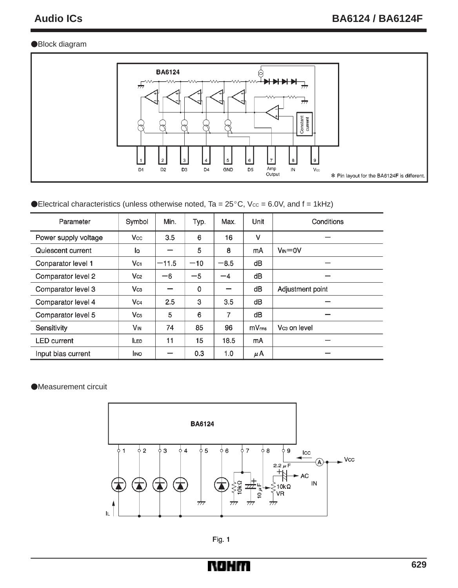## Block diagram



### Electrical characteristics (unless otherwise noted, Ta =  $25^{\circ}$ C, Vcc = 6.0V, and f = 1kHz)

| Parameter            | Symbol                | Min.    | Typ.  | Max.   | Unit              | Conditions               |
|----------------------|-----------------------|---------|-------|--------|-------------------|--------------------------|
| Power supply voltage | Vcc                   | 3.5     | 6     | 16     | $\vee$            |                          |
| Quiescent current    | lo                    |         | 5     | 8      | mA                | $V_{IN} = 0V$            |
| Conparator level 1   | $V_{C1}$              | $-11.5$ | $-10$ | $-8.5$ | dB                |                          |
| Comparator level 2   | Vc <sub>2</sub>       | $-6$    | $-5$  | $-4$   | dB                |                          |
| Comparator level 3   | $V_{C3}$              |         | 0     |        | dB                | Adjustment point         |
| Comparator level 4   | Vc4                   | 2.5     | 3     | 3.5    | dB                |                          |
| Comparator level 5   | Vc <sub>5</sub>       | 5       | 6     | 7      | dВ                |                          |
| Sensitivity          | <b>V<sub>IN</sub></b> | 74      | 85    | 96     | mV <sub>rms</sub> | Vc <sub>3</sub> on level |
| <b>LED</b> current   | <b>LED</b>            | 11      | 15    | 18.5   | mA                |                          |
| Input bias current   | Ino                   |         | 0.3   | 1.0    | μΑ                |                          |

#### Measurement circuit